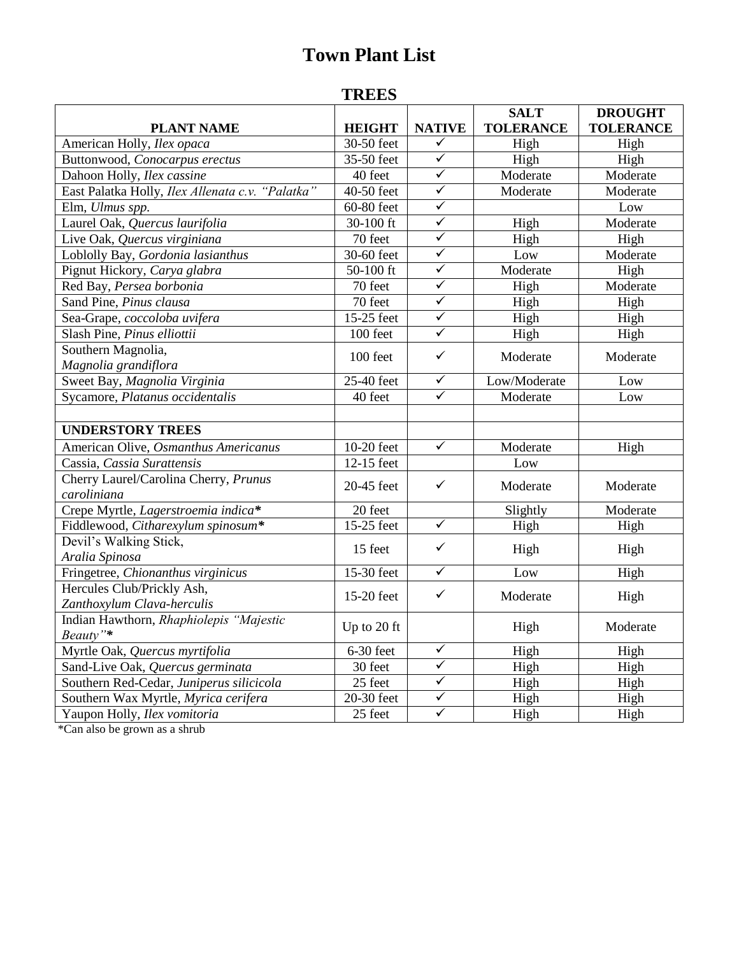# **Town Plant List**

### **TREES**

| <b>PLANT NAME</b>                                | <b>HEIGHT</b>            | <b>NATIVE</b>           | <b>SALT</b><br><b>TOLERANCE</b> | <b>DROUGHT</b><br><b>TOLERANCE</b> |
|--------------------------------------------------|--------------------------|-------------------------|---------------------------------|------------------------------------|
| American Holly, Ilex opaca                       | 30-50 feet               | $\checkmark$            | High                            | High                               |
| Buttonwood, Conocarpus erectus                   | 35-50 feet               | $\overline{\checkmark}$ | High                            | High                               |
| Dahoon Holly, Ilex cassine                       | 40 feet                  | $\blacktriangledown$    | Moderate                        | Moderate                           |
| East Palatka Holly, Ilex Allenata c.v. "Palatka" | 40-50 feet               | $\checkmark$            | Moderate                        | Moderate                           |
| Elm, Ulmus spp.                                  | 60-80 feet               | $\checkmark$            |                                 | Low                                |
| Laurel Oak, Quercus laurifolia                   | 30-100 ft                | $\overline{\checkmark}$ | High                            | Moderate                           |
| Live Oak, Quercus virginiana                     | 70 feet                  | $\overline{\checkmark}$ | High                            | High                               |
| Loblolly Bay, Gordonia lasianthus                | 30-60 feet               | $\checkmark$            | Low                             | Moderate                           |
| Pignut Hickory, Carya glabra                     | $50-100$ ft              | $\overline{\checkmark}$ | Moderate                        | High                               |
| Red Bay, Persea borbonia                         | 70 feet                  | $\checkmark$            | High                            | Moderate                           |
| Sand Pine, Pinus clausa                          | 70 feet                  | $\checkmark$            | High                            | High                               |
| Sea-Grape, coccoloba uvifera                     | 15-25 feet               | $\overline{\checkmark}$ | High                            | High                               |
| Slash Pine, Pinus elliottii                      | 100 feet                 | $\overline{\checkmark}$ | High                            | High                               |
| Southern Magnolia,                               |                          |                         |                                 |                                    |
| Magnolia grandiflora                             | 100 feet                 | $\checkmark$            | Moderate                        | Moderate                           |
| Sweet Bay, Magnolia Virginia                     | 25-40 feet               | $\checkmark$            | Low/Moderate                    | Low                                |
| Sycamore, Platanus occidentalis                  | 40 feet                  | $\overline{\checkmark}$ | Moderate                        | Low                                |
|                                                  |                          |                         |                                 |                                    |
| <b>UNDERSTORY TREES</b>                          |                          |                         |                                 |                                    |
| American Olive, Osmanthus Americanus             | 10-20 feet               | $\overline{\checkmark}$ | Moderate                        | High                               |
| Cassia, Cassia Surattensis                       | 12-15 feet               |                         | Low                             |                                    |
| Cherry Laurel/Carolina Cherry, Prunus            |                          | $\checkmark$            |                                 |                                    |
| caroliniana                                      | 20-45 feet               |                         | Moderate                        | Moderate                           |
| Crepe Myrtle, Lagerstroemia indica*              | 20 feet                  |                         | Slightly                        | Moderate                           |
| Fiddlewood, Citharexylum spinosum*               | 15-25 feet               | $\checkmark$            | High                            | High                               |
| Devil's Walking Stick,                           | 15 feet                  | ✓                       | High                            | High                               |
| Aralia Spinosa                                   |                          |                         |                                 |                                    |
| Fringetree, Chionanthus virginicus               | $\overline{1}$ 5-30 feet | $\checkmark$            | Low                             | High                               |
| Hercules Club/Prickly Ash,                       | 15-20 feet               | $\checkmark$            | Moderate                        | High                               |
| Zanthoxylum Clava-herculis                       |                          |                         |                                 |                                    |
| Indian Hawthorn, Rhaphiolepis "Majestic          | Up to 20 ft              |                         | High                            | Moderate                           |
| Beauty"*                                         |                          |                         |                                 |                                    |
| Myrtle Oak, Quercus myrtifolia                   | 6-30 feet                | $\overline{\checkmark}$ | High                            | High                               |
| Sand-Live Oak, Quercus germinata                 | 30 feet                  | ✓                       | High                            | High                               |
| Southern Red-Cedar, Juniperus silicicola         | 25 feet                  | ✓                       | High                            | High                               |
| Southern Wax Myrtle, Myrica cerifera             | 20-30 feet               | $\checkmark$            | High                            | High                               |
| Yaupon Holly, Ilex vomitoria                     | 25 feet                  | $\overline{\checkmark}$ | High                            | High                               |

\*Can also be grown as a shrub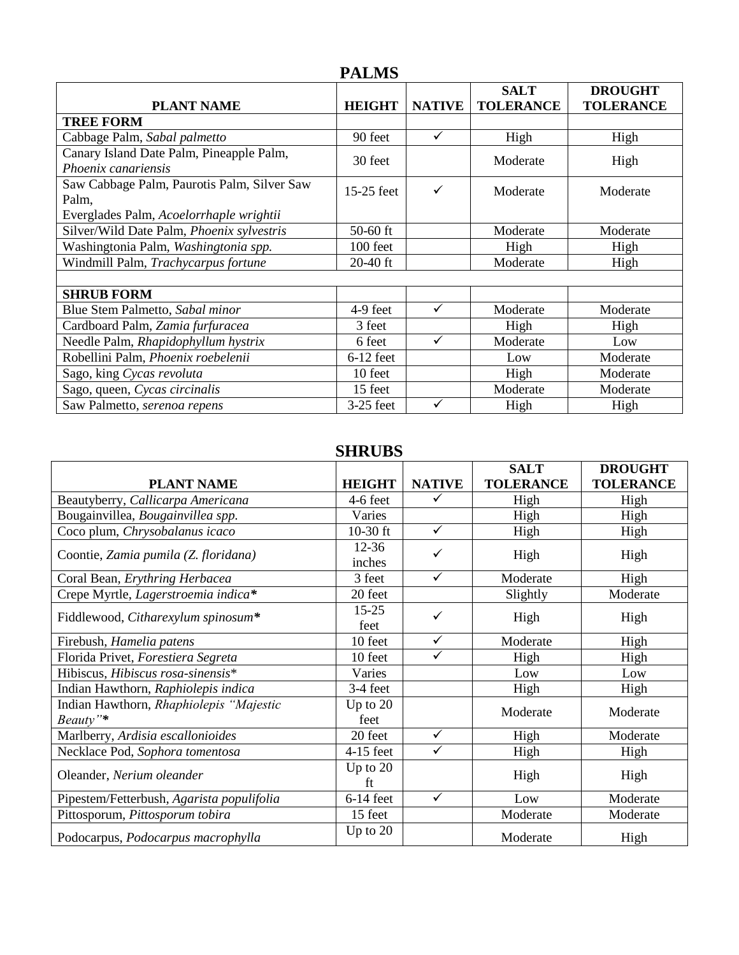### **PALMS**

|                                                                 |               |               | <b>SALT</b>      | <b>DROUGHT</b>   |
|-----------------------------------------------------------------|---------------|---------------|------------------|------------------|
| <b>PLANT NAME</b>                                               | <b>HEIGHT</b> | <b>NATIVE</b> | <b>TOLERANCE</b> | <b>TOLERANCE</b> |
| <b>TREE FORM</b>                                                |               |               |                  |                  |
| Cabbage Palm, Sabal palmetto                                    | 90 feet       | ✓             | High             | High             |
| Canary Island Date Palm, Pineapple Palm,<br>Phoenix canariensis | 30 feet       |               | Moderate         | High             |
| Saw Cabbage Palm, Paurotis Palm, Silver Saw<br>Palm,            | 15-25 feet    | ✓             | Moderate         | Moderate         |
| Everglades Palm, Acoelorrhaple wrightii                         |               |               |                  |                  |
| Silver/Wild Date Palm, Phoenix sylvestris                       | $50-60$ ft    |               | Moderate         | Moderate         |
| Washingtonia Palm, Washingtonia spp.                            | 100 feet      |               | High             | High             |
| Windmill Palm, Trachycarpus fortune                             | $20-40$ ft    |               | Moderate         | High             |
|                                                                 |               |               |                  |                  |
| <b>SHRUB FORM</b>                                               |               |               |                  |                  |
| Blue Stem Palmetto, Sabal minor                                 | 4-9 feet      | $\checkmark$  | Moderate         | Moderate         |
| Cardboard Palm, Zamia furfuracea                                | 3 feet        |               | High             | High             |
| Needle Palm, Rhapidophyllum hystrix                             | 6 feet        |               | Moderate         | Low              |
| Robellini Palm, Phoenix roebelenii                              | $6-12$ feet   |               | Low              | Moderate         |
| Sago, king Cycas revoluta                                       | 10 feet       |               | High             | Moderate         |
| Sago, queen, Cycas circinalis                                   | 15 feet       |               | Moderate         | Moderate         |
| Saw Palmetto, serenoa repens                                    | $3-25$ feet   |               | High             | High             |

## **SHRUBS**

|                                                     |                     |               | <b>SALT</b>      | <b>DROUGHT</b>   |
|-----------------------------------------------------|---------------------|---------------|------------------|------------------|
| <b>PLANT NAME</b>                                   | <b>HEIGHT</b>       | <b>NATIVE</b> | <b>TOLERANCE</b> | <b>TOLERANCE</b> |
| Beautyberry, Callicarpa Americana                   | 4-6 feet            |               | High             | High             |
| Bougainvillea, Bougainvillea spp.                   | Varies              |               | High             | High             |
| Coco plum, Chrysobalanus icaco                      | $10-30$ ft          | $\checkmark$  | High             | High             |
| Coontie, Zamia pumila (Z. floridana)                | $12 - 36$<br>inches | ✓             | High             | High             |
| Coral Bean, Erythring Herbacea                      | 3 feet              | $\checkmark$  | Moderate         | High             |
| Crepe Myrtle, Lagerstroemia indica*                 | 20 feet             |               | Slightly         | Moderate         |
| Fiddlewood, Citharexylum spinosum*                  | $15 - 25$<br>feet   | ✓             | High             | High             |
| Firebush, Hamelia patens                            | 10 feet             | $\checkmark$  | Moderate         | High             |
| Florida Privet, Forestiera Segreta                  | 10 feet             | $\checkmark$  | High             | High             |
| Hibiscus, Hibiscus rosa-sinensis*                   | Varies              |               | Low              | Low              |
| Indian Hawthorn, Raphiolepis indica                 | 3-4 feet            |               | High             | High             |
| Indian Hawthorn, Rhaphiolepis "Majestic<br>Beauty"* | Up to $20$<br>feet  |               | Moderate         | Moderate         |
| Marlberry, Ardisia escallonioides                   | 20 feet             | $\checkmark$  | High             | Moderate         |
| Necklace Pod, Sophora tomentosa                     | $4-15$ feet         | $\checkmark$  | High             | High             |
| Oleander, Nerium oleander                           | Up to $20$<br>ft    |               | High             | High             |
| Pipestem/Fetterbush, Agarista populifolia           | $6-14$ feet         | $\checkmark$  | Low              | Moderate         |
| Pittosporum, Pittosporum tobira                     | 15 feet             |               | Moderate         | Moderate         |
| Podocarpus, Podocarpus macrophylla                  | Up to $20$          |               | Moderate         | High             |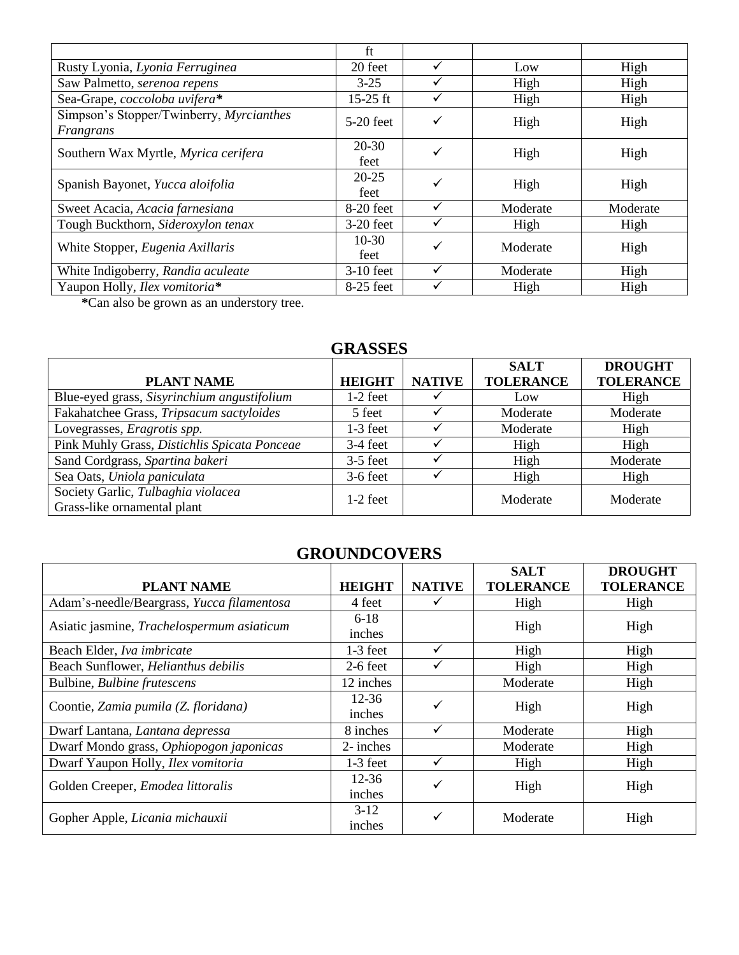|                                                       | ft                |   |          |          |
|-------------------------------------------------------|-------------------|---|----------|----------|
| Rusty Lyonia, Lyonia Ferruginea                       | 20 feet           |   | Low      | High     |
| Saw Palmetto, serenoa repens                          | $3-25$            |   | High     | High     |
| Sea-Grape, coccoloba uvifera*                         | $15-25$ ft        |   | High     | High     |
| Simpson's Stopper/Twinberry, Myrcianthes<br>Frangrans | $5-20$ feet       | ✓ | High     | High     |
| Southern Wax Myrtle, Myrica cerifera                  | $20 - 30$<br>feet |   | High     | High     |
| Spanish Bayonet, Yucca aloifolia                      | $20 - 25$<br>feet |   | High     | High     |
| Sweet Acacia, Acacia farnesiana                       | 8-20 feet         |   | Moderate | Moderate |
| Tough Buckthorn, Sideroxylon tenax                    | $3-20$ feet       |   | High     | High     |
| White Stopper, Eugenia Axillaris                      | $10-30$<br>feet   |   | Moderate | High     |
| White Indigoberry, Randia aculeate                    | $3-10$ feet       |   | Moderate | High     |
| Yaupon Holly, Ilex vomitoria*                         | 8-25 feet         |   | High     | High     |

**\***Can also be grown as an understory tree.

#### **GRASSES**

| <b>PLANT NAME</b>                                                 | <b>HEIGHT</b> | <b>NATIVE</b> | <b>SALT</b><br><b>TOLERANCE</b> | <b>DROUGHT</b><br><b>TOLERANCE</b> |
|-------------------------------------------------------------------|---------------|---------------|---------------------------------|------------------------------------|
| Blue-eyed grass, Sisyrinchium angustifolium                       | $1-2$ feet    |               | Low                             | High                               |
| Fakahatchee Grass, Tripsacum sactyloides                          | 5 feet        |               | Moderate                        | Moderate                           |
| Lovegrasses, Eragrotis spp.                                       | $1-3$ feet    |               | Moderate                        | High                               |
| Pink Muhly Grass, Distichlis Spicata Ponceae                      | $3-4$ feet    |               | High                            | High                               |
| Sand Cordgrass, Spartina bakeri                                   | $3-5$ feet    |               | High                            | Moderate                           |
| Sea Oats, Uniola paniculata                                       | $3-6$ feet    |               | High                            | High                               |
| Society Garlic, Tulbaghia violacea<br>Grass-like ornamental plant | $1-2$ feet    |               | Moderate                        | Moderate                           |

### **GROUNDCOVERS**

|                                            |               |               | <b>SALT</b>      | <b>DROUGHT</b>   |  |
|--------------------------------------------|---------------|---------------|------------------|------------------|--|
| <b>PLANT NAME</b>                          | <b>HEIGHT</b> | <b>NATIVE</b> | <b>TOLERANCE</b> | <b>TOLERANCE</b> |  |
| Adam's-needle/Beargrass, Yucca filamentosa | 4 feet        |               | High             | High             |  |
| Asiatic jasmine, Trachelospermum asiaticum | $6 - 18$      |               | High             | High             |  |
|                                            | inches        |               |                  |                  |  |
| Beach Elder, Iva imbricate                 | $1-3$ feet    |               | High             | High             |  |
| Beach Sunflower, Helianthus debilis        | $2-6$ feet    |               | High             | High             |  |
| Bulbine, Bulbine frutescens                | 12 inches     |               | Moderate         | High             |  |
| Coontie, Zamia pumila (Z. floridana)       | $12 - 36$     |               | High             | High             |  |
|                                            | inches        |               |                  |                  |  |
| Dwarf Lantana, Lantana depressa            | 8 inches      |               | Moderate         | High             |  |
| Dwarf Mondo grass, Ophiopogon japonicas    | 2-inches      |               | Moderate         | High             |  |
| Dwarf Yaupon Holly, Ilex vomitoria         | $1-3$ feet    |               | High             | High             |  |
| Golden Creeper, Emodea littoralis          | $12 - 36$     |               | High             | High             |  |
|                                            | inches        |               |                  |                  |  |
| Gopher Apple, Licania michauxii            | $3-12$        |               | Moderate         |                  |  |
|                                            | inches        |               |                  | High             |  |